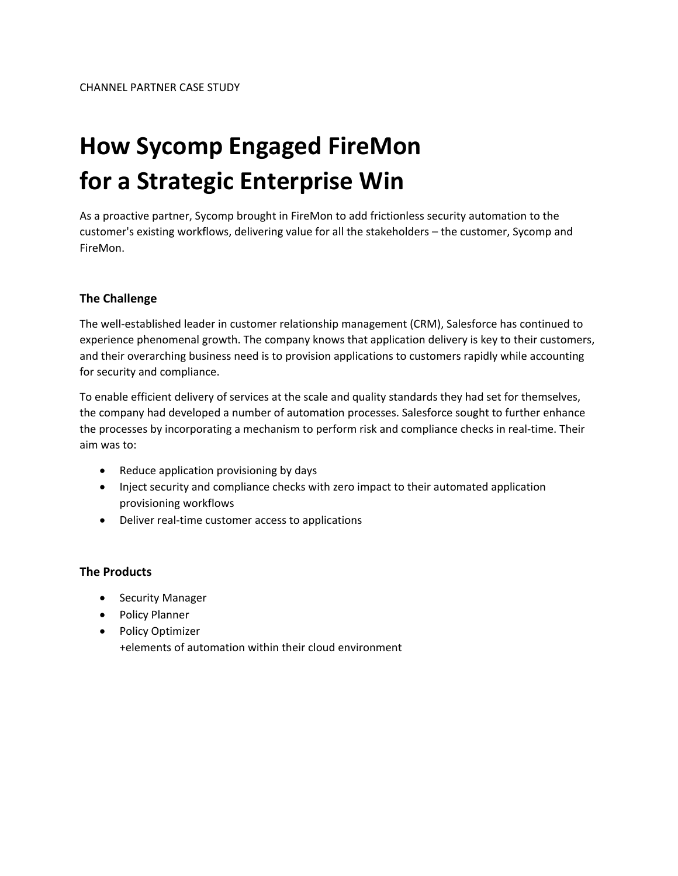# **How Sycomp Engaged FireMon for a Strategic Enterprise Win**

As a proactive partner, Sycomp brought in FireMon to add frictionless security automation to the customer's existing workflows, delivering value for all the stakeholders – the customer, Sycomp and FireMon.

## **The Challenge**

The well‐established leader in customer relationship management (CRM), Salesforce has continued to experience phenomenal growth. The company knows that application delivery is key to their customers, and their overarching business need is to provision applications to customers rapidly while accounting for security and compliance.

To enable efficient delivery of services at the scale and quality standards they had set for themselves, the company had developed a number of automation processes. Salesforce sought to further enhance the processes by incorporating a mechanism to perform risk and compliance checks in real‐time. Their aim was to:

- Reduce application provisioning by days
- Inject security and compliance checks with zero impact to their automated application provisioning workflows
- Deliver real-time customer access to applications

## **The Products**

- Security Manager
- Policy Planner
- Policy Optimizer +elements of automation within their cloud environment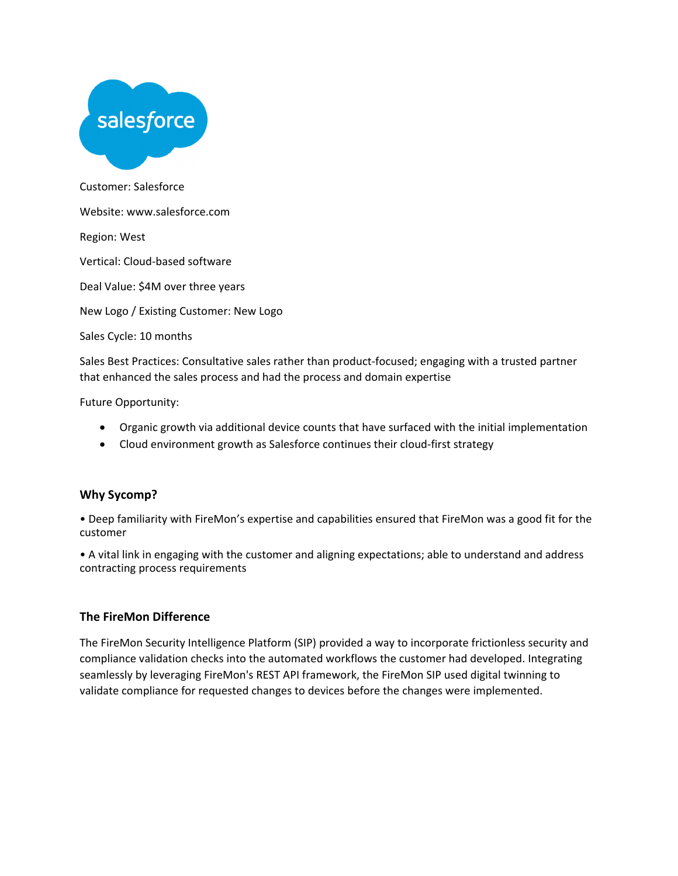

Customer: Salesforce Website: www.salesforce.com Region: West Vertical: Cloud‐based software Deal Value: \$4M over three years

New Logo / Existing Customer: New Logo

Sales Cycle: 10 months

Sales Best Practices: Consultative sales rather than product-focused; engaging with a trusted partner that enhanced the sales process and had the process and domain expertise

Future Opportunity:

- Organic growth via additional device counts that have surfaced with the initial implementation
- Cloud environment growth as Salesforce continues their cloud-first strategy

#### **Why Sycomp?**

• Deep familiarity with FireMon's expertise and capabilities ensured that FireMon was a good fit for the customer

• A vital link in engaging with the customer and aligning expectations; able to understand and address contracting process requirements

#### **The FireMon Difference**

The FireMon Security Intelligence Platform (SIP) provided a way to incorporate frictionless security and compliance validation checks into the automated workflows the customer had developed. Integrating seamlessly by leveraging FireMon's REST API framework, the FireMon SIP used digital twinning to validate compliance for requested changes to devices before the changes were implemented.